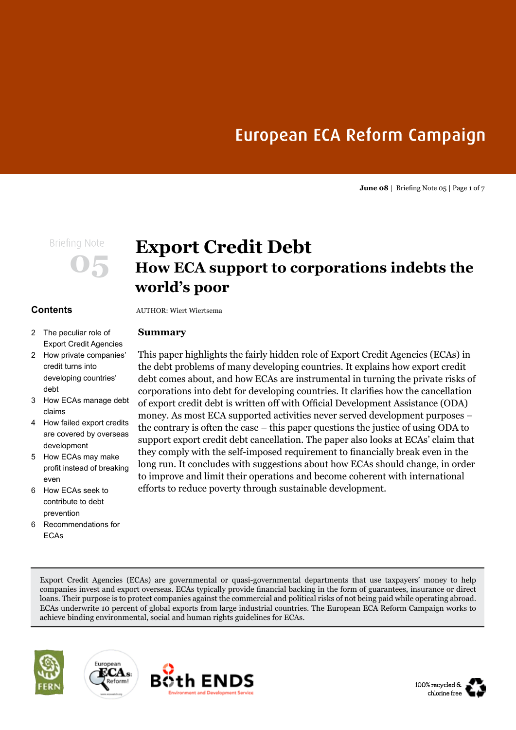# European ECA Reform Campaign

**June 08** | Briefing Note 05 | Page 1 of 7

# **Contents**

## 2 The peculiar role of Export Credit Agencies

- 2 How private companies' credit turns into developing countries' debt
- 3 How ECAs manage debt claims
- 4 How failed export credits are covered by overseas development
- 5 How ECAs may make profit instead of breaking even
- 6 How ECAs seek to contribute to debt prevention
- 6 Recommendations for ECAs

# **Briefing Note Export Credit Debt How ECA support to corporations indebts the world's poor**

AUTHOR: Wiert Wiertsema

# **Summary**

This paper highlights the fairly hidden role of Export Credit Agencies (ECAs) in the debt problems of many developing countries. It explains how export credit debt comes about, and how ECAs are instrumental in turning the private risks of corporations into debt for developing countries. It clarifies how the cancellation of export credit debt is written off with Official Development Assistance (ODA) money. As most ECA supported activities never served development purposes – the contrary is often the case – this paper questions the justice of using ODA to support export credit debt cancellation. The paper also looks at ECAs' claim that they comply with the self-imposed requirement to financially break even in the long run. It concludes with suggestions about how ECAs should change, in order to improve and limit their operations and become coherent with international efforts to reduce poverty through sustainable development.

Export Credit Agencies (ECAs) are governmental or quasi-governmental departments that use taxpayers' money to help companies invest and export overseas. ECAs typically provide financial backing in the form of guarantees, insurance or direct loans. Their purpose is to protect companies against the commercial and political risks of not being paid while operating abroad. ECAs underwrite 10 percent of global exports from large industrial countries. The European ECA Reform Campaign works to achieve binding environmental, social and human rights guidelines for ECAs.







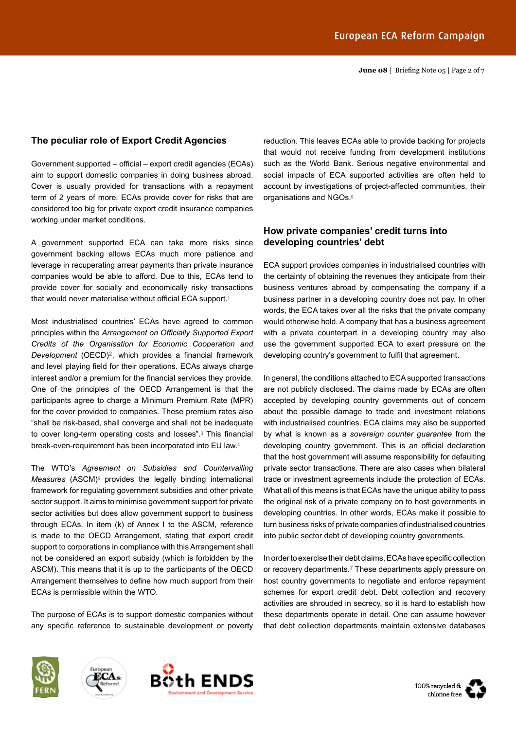### **The peculiar role of Export Credit Agencies**

Government supported – official – export credit agencies (ECAs) aim to support domestic companies in doing business abroad. Cover is usually provided for transactions with a repayment term of 2 years of more. ECAs provide cover for risks that are considered too big for private export credit insurance companies working under market conditions.

A government supported ECA can take more risks since government backing allows ECAs much more patience and leverage in recuperating arrear payments than private insurance companies would be able to afford. Due to this, ECAs tend to provide cover for socially and economically risky transactions that would never materialise without official ECA support.**<sup>1</sup>**

Most industrialised countries' ECAs have agreed to common principles within the *Arrangement on Officially Supported Export Credits of the Organisation for Economic Cooperation and Development* (OECD)**2**, which provides a financial framework and level playing field for their operations. ECAs always charge interest and/or a premium for the financial services they provide. One of the principles of the OECD Arrangement is that the participants agree to charge a Minimum Premium Rate (MPR) for the cover provided to companies. These premium rates also "shall be risk-based, shall converge and shall not be inadequate to cover long-term operating costs and losses".**<sup>3</sup>** This financial break-even-requirement has been incorporated into EU law.**<sup>4</sup>**

The WTO's *Agreement on Subsidies and Countervailing Measures* (ASCM)**<sup>5</sup>** provides the legally binding international framework for regulating government subsidies and other private sector support. It aims to minimise government support for private sector activities but does allow government support to business through ECAs. In item (k) of Annex I to the ASCM, reference is made to the OECD Arrangement, stating that export credit support to corporations in compliance with this Arrangement shall not be considered an export subsidy (which is forbidden by the ASCM). This means that it is up to the participants of the OECD Arrangement themselves to define how much support from their ECAs is permissible within the WTO.

The purpose of ECAs is to support domestic companies without any specific reference to sustainable development or poverty

reduction. This leaves ECAs able to provide backing for projects that would not receive funding from development institutions such as the World Bank. Serious negative environmental and social impacts of ECA supported activities are often held to account by investigations of project-affected communities, their organisations and NGOs.**<sup>6</sup>**

## **How private companies' credit turns into developing countries' debt**

ECA support provides companies in industrialised countries with the certainty of obtaining the revenues they anticipate from their business ventures abroad by compensating the company if a business partner in a developing country does not pay. In other words, the ECA takes over all the risks that the private company would otherwise hold. A company that has a business agreement with a private counterpart in a developing country may also use the government supported ECA to exert pressure on the developing country's government to fulfil that agreement.

In general, the conditions attached to ECA supported transactions are not publicly disclosed. The claims made by ECAs are often accepted by developing country governments out of concern about the possible damage to trade and investment relations with industrialised countries. ECA claims may also be supported by what is known as a *sovereign counter guarantee* from the developing country government. This is an official declaration that the host government will assume responsibility for defaulting private sector transactions. There are also cases when bilateral trade or investment agreements include the protection of ECAs. What all of this means is that ECAs have the unique ability to pass the original risk of a private company on to host governments in developing countries. In other words, ECAs make it possible to turn business risks of private companies of industrialised countries into public sector debt of developing country governments.

In order to exercise their debt claims, ECAs have specific collection or recovery departments.**7** These departments apply pressure on host country governments to negotiate and enforce repayment schemes for export credit debt. Debt collection and recovery activities are shrouded in secrecy, so it is hard to establish how these departments operate in detail. One can assume however that debt collection departments maintain extensive databases







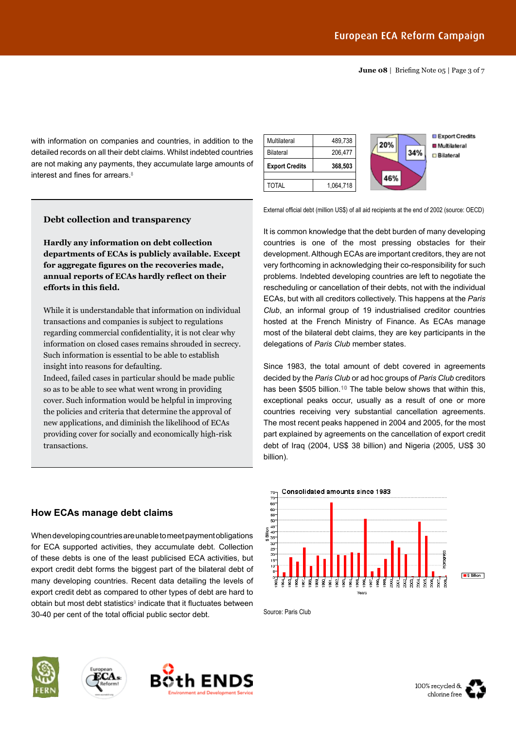**June 08** | Briefing Note 05 | Page 3 of 7

with information on companies and countries, in addition to the detailed records on all their debt claims. Whilst indebted countries are not making any payments, they accumulate large amounts of interest and fines for arrears.**<sup>8</sup>**



### **Debt collection and transparency**

**Hardly any information on debt collection departments of ECAs is publicly available. Except for aggregate figures on the recoveries made, annual reports of ECAs hardly reflect on their efforts in this field.** 

While it is understandable that information on individual transactions and companies is subject to regulations regarding commercial confidentiality, it is not clear why information on closed cases remains shrouded in secrecy. Such information is essential to be able to establish insight into reasons for defaulting.

Indeed, failed cases in particular should be made public so as to be able to see what went wrong in providing cover. Such information would be helpful in improving the policies and criteria that determine the approval of new applications, and diminish the likelihood of ECAs providing cover for socially and economically high-risk transactions.

obtain but most debt statistics**<sup>9</sup>** indicate that it fluctuates between

30-40 per cent of the total official public sector debt.

#### External official debt (million US\$) of all aid recipients at the end of 2002 (source: OECD)

It is common knowledge that the debt burden of many developing countries is one of the most pressing obstacles for their development. Although ECAs are important creditors, they are not very forthcoming in acknowledging their co-responsibility for such problems. Indebted developing countries are left to negotiate the rescheduling or cancellation of their debts, not with the individual ECAs, but with all creditors collectively. This happens at the *Paris Club*, an informal group of 19 industrialised creditor countries hosted at the French Ministry of Finance. As ECAs manage most of the bilateral debt claims, they are key participants in the delegations of *Paris Club* member states.

Since 1983, the total amount of debt covered in agreements decided by the *Paris Club* or ad hoc groups of *Paris Club* creditors has been \$505 billion.**10** The table below shows that within this, exceptional peaks occur, usually as a result of one or more countries receiving very substantial cancellation agreements. The most recent peaks happened in 2004 and 2005, for the most part explained by agreements on the cancellation of export credit debt of Iraq (2004, US\$ 38 billion) and Nigeria (2005, US\$ 30 billion).



Source: Paris Club





**How ECAs manage debt claims**





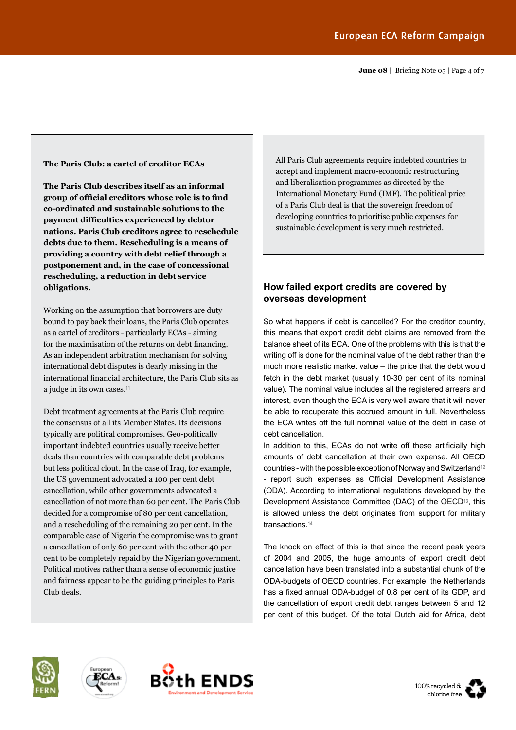**June 08** | Briefing Note 05 | Page 4 of 7

#### **The Paris Club: a cartel of creditor ECAs**

**The Paris Club describes itself as an informal group of official creditors whose role is to find co-ordinated and sustainable solutions to the payment difficulties experienced by debtor nations. Paris Club creditors agree to reschedule debts due to them. Rescheduling is a means of providing a country with debt relief through a postponement and, in the case of concessional rescheduling, a reduction in debt service obligations.**

Working on the assumption that borrowers are duty bound to pay back their loans, the Paris Club operates as a cartel of creditors - particularly ECAs - aiming for the maximisation of the returns on debt financing. As an independent arbitration mechanism for solving international debt disputes is dearly missing in the international financial architecture, the Paris Club sits as a judge in its own cases.**<sup>11</sup>**

Debt treatment agreements at the Paris Club require the consensus of all its Member States. Its decisions typically are political compromises. Geo-politically important indebted countries usually receive better deals than countries with comparable debt problems but less political clout. In the case of Iraq, for example, the US government advocated a 100 per cent debt cancellation, while other governments advocated a cancellation of not more than 60 per cent. The Paris Club decided for a compromise of 80 per cent cancellation, and a rescheduling of the remaining 20 per cent. In the comparable case of Nigeria the compromise was to grant a cancellation of only 60 per cent with the other 40 per cent to be completely repaid by the Nigerian government. Political motives rather than a sense of economic justice and fairness appear to be the guiding principles to Paris Club deals.

All Paris Club agreements require indebted countries to accept and implement macro-economic restructuring and liberalisation programmes as directed by the International Monetary Fund (IMF). The political price of a Paris Club deal is that the sovereign freedom of developing countries to prioritise public expenses for sustainable development is very much restricted.

# **How failed export credits are covered by overseas development**

So what happens if debt is cancelled? For the creditor country, this means that export credit debt claims are removed from the balance sheet of its ECA. One of the problems with this is that the writing off is done for the nominal value of the debt rather than the much more realistic market value – the price that the debt would fetch in the debt market (usually 10-30 per cent of its nominal value). The nominal value includes all the registered arrears and interest, even though the ECA is very well aware that it will never be able to recuperate this accrued amount in full. Nevertheless the ECA writes off the full nominal value of the debt in case of debt cancellation.

In addition to this, ECAs do not write off these artificially high amounts of debt cancellation at their own expense. All OECD countries - with the possible exception of Norway and Switzerland**<sup>12</sup>** - report such expenses as Official Development Assistance (ODA). According to international regulations developed by the Development Assistance Committee (DAC) of the OECD**<sup>13</sup>**, this is allowed unless the debt originates from support for military transactions.**<sup>14</sup>**

The knock on effect of this is that since the recent peak years of 2004 and 2005, the huge amounts of export credit debt cancellation have been translated into a substantial chunk of the ODA-budgets of OECD countries. For example, the Netherlands has a fixed annual ODA-budget of 0.8 per cent of its GDP, and the cancellation of export credit debt ranges between 5 and 12 per cent of this budget. Of the total Dutch aid for Africa, debt









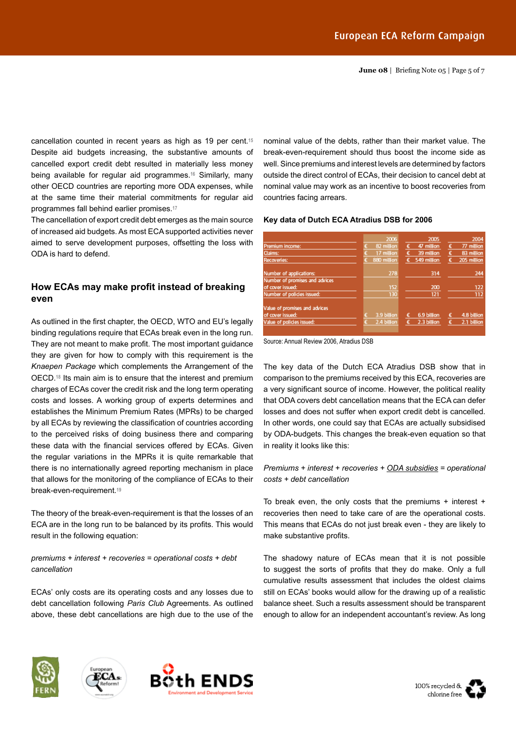**June 08** | Briefing Note 05 | Page 5 of 7

cancellation counted in recent years as high as 19 per cent.**<sup>15</sup>** Despite aid budgets increasing, the substantive amounts of cancelled export credit debt resulted in materially less money being available for regular aid programmes.**<sup>16</sup>** Similarly, many other OECD countries are reporting more ODA expenses, while at the same time their material commitments for regular aid programmes fall behind earlier promises.**<sup>17</sup>**

The cancellation of export credit debt emerges as the main source of increased aid budgets. As most ECA supported activities never aimed to serve development purposes, offsetting the loss with ODA is hard to defend.

# **How ECAs may make profit instead of breaking even**

As outlined in the first chapter, the OECD, WTO and EU's legally binding regulations require that ECAs break even in the long run. They are not meant to make profit. The most important guidance they are given for how to comply with this requirement is the *Knaepen Package* which complements the Arrangement of the OECD.**<sup>18</sup>** Its main aim is to ensure that the interest and premium charges of ECAs cover the credit risk and the long term operating costs and losses. A working group of experts determines and establishes the Minimum Premium Rates (MPRs) to be charged by all ECAs by reviewing the classification of countries according to the perceived risks of doing business there and comparing these data with the financial services offered by ECAs. Given the regular variations in the MPRs it is quite remarkable that there is no internationally agreed reporting mechanism in place that allows for the monitoring of the compliance of ECAs to their break-even-requirement.**<sup>19</sup>**

The theory of the break-even-requirement is that the losses of an ECA are in the long run to be balanced by its profits. This would result in the following equation:

*premiums + interest + recoveries = operational costs + debt cancellation*

ECAs' only costs are its operating costs and any losses due to debt cancellation following *Paris Club* Agreements. As outlined above, these debt cancellations are high due to the use of the nominal value of the debts, rather than their market value. The break-even-requirement should thus boost the income side as well. Since premiums and interest levels are determined by factors outside the direct control of ECAs, their decision to cancel debt at nominal value may work as an incentive to boost recoveries from countries facing arrears.

#### **Key data of Dutch ECA Atradius DSB for 2006**





The key data of the Dutch ECA Atradius DSB show that in comparison to the premiums received by this ECA, recoveries are a very significant source of income. However, the political reality that ODA covers debt cancellation means that the ECA can defer losses and does not suffer when export credit debt is cancelled. In other words, one could say that ECAs are actually subsidised by ODA-budgets. This changes the break-even equation so that in reality it looks like this:

#### *Premiums + interest + recoveries + ODA subsidies = operational costs + debt cancellation*

To break even, the only costs that the premiums + interest + recoveries then need to take care of are the operational costs. This means that ECAs do not just break even - they are likely to make substantive profits.

The shadowy nature of ECAs mean that it is not possible to suggest the sorts of profits that they do make. Only a full cumulative results assessment that includes the oldest claims still on ECAs' books would allow for the drawing up of a realistic balance sheet. Such a results assessment should be transparent enough to allow for an independent accountant's review. As long









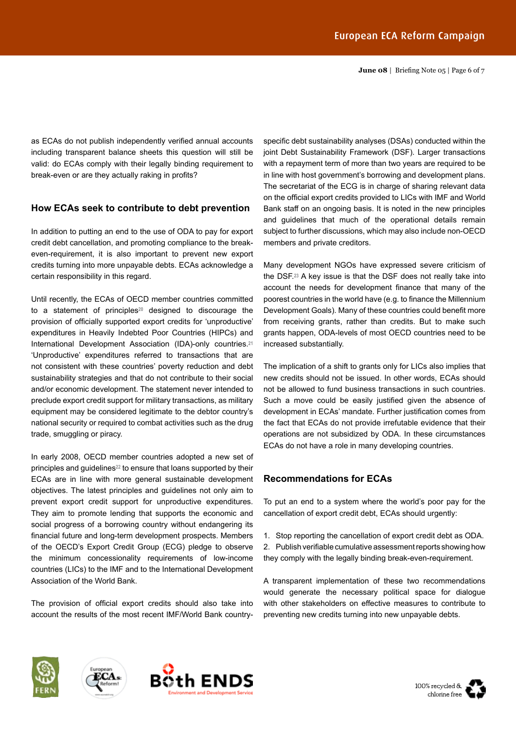**June 08** | Briefing Note 05 | Page 6 of 7

as ECAs do not publish independently verified annual accounts including transparent balance sheets this question will still be valid: do ECAs comply with their legally binding requirement to break-even or are they actually raking in profits?

# **How ECAs seek to contribute to debt prevention**

In addition to putting an end to the use of ODA to pay for export credit debt cancellation, and promoting compliance to the breakeven-requirement, it is also important to prevent new export credits turning into more unpayable debts. ECAs acknowledge a certain responsibility in this regard.

Until recently, the ECAs of OECD member countries committed to a statement of principles**<sup>20</sup>** designed to discourage the provision of officially supported export credits for 'unproductive' expenditures in Heavily Indebted Poor Countries (HIPCs) and International Development Association (IDA)-only countries.**<sup>21</sup>** 'Unproductive' expenditures referred to transactions that are not consistent with these countries' poverty reduction and debt sustainability strategies and that do not contribute to their social and/or economic development. The statement never intended to preclude export credit support for military transactions, as military equipment may be considered legitimate to the debtor country's national security or required to combat activities such as the drug trade, smuggling or piracy.

In early 2008, OECD member countries adopted a new set of principles and guidelines**<sup>22</sup>** to ensure that loans supported by their ECAs are in line with more general sustainable development objectives. The latest principles and guidelines not only aim to prevent export credit support for unproductive expenditures. They aim to promote lending that supports the economic and social progress of a borrowing country without endangering its financial future and long-term development prospects. Members of the OECD's Export Credit Group (ECG) pledge to observe the minimum concessionality requirements of low-income countries (LICs) to the IMF and to the International Development Association of the World Bank.

The provision of official export credits should also take into account the results of the most recent IMF/World Bank countryspecific debt sustainability analyses (DSAs) conducted within the joint Debt Sustainability Framework (DSF). Larger transactions with a repayment term of more than two years are required to be in line with host government's borrowing and development plans. The secretariat of the ECG is in charge of sharing relevant data on the official export credits provided to LICs with IMF and World Bank staff on an ongoing basis. It is noted in the new principles and guidelines that much of the operational details remain subject to further discussions, which may also include non-OECD members and private creditors.

Many development NGOs have expressed severe criticism of the DSF.**<sup>23</sup>** A key issue is that the DSF does not really take into account the needs for development finance that many of the poorest countries in the world have (e.g. to finance the Millennium Development Goals). Many of these countries could benefit more from receiving grants, rather than credits. But to make such grants happen, ODA-levels of most OECD countries need to be increased substantially.

The implication of a shift to grants only for LICs also implies that new credits should not be issued. In other words, ECAs should not be allowed to fund business transactions in such countries. Such a move could be easily justified given the absence of development in ECAs' mandate. Further justification comes from the fact that ECAs do not provide irrefutable evidence that their operations are not subsidized by ODA. In these circumstances ECAs do not have a role in many developing countries.

## **Recommendations for ECAs**

To put an end to a system where the world's poor pay for the cancellation of export credit debt, ECAs should urgently:

1. Stop reporting the cancellation of export credit debt as ODA. 2. Publish verifiable cumulative assessment reports showing how they comply with the legally binding break-even-requirement.

A transparent implementation of these two recommendations would generate the necessary political space for dialogue with other stakeholders on effective measures to contribute to preventing new credits turning into new unpayable debts.